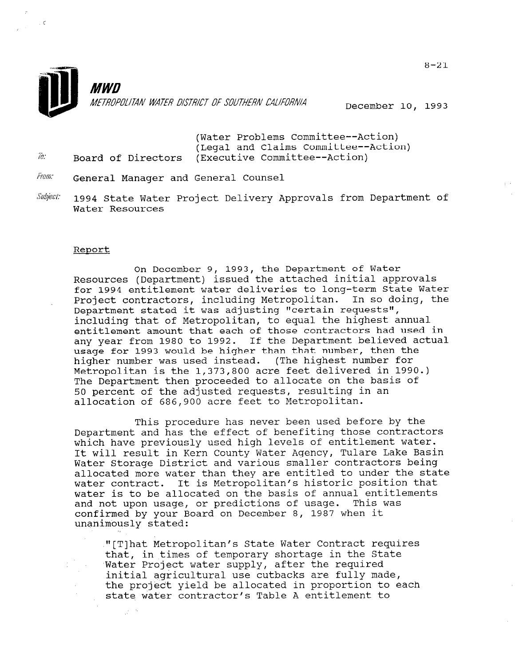

December 10, 1993

(Water Problems Committee--Action) (Legal and Claims Committee--Action)  $\bar{b}$ : Board of Directors (Executive Committee--Action)

- From: General Manager and General Counsel
- Subject: 1994 State Water Project Delivery Approvals from Department of Water Resources

### Report

 $\mathbb{R}^2$ 

 $\sim$   $\zeta$ 

On December 9, 1993, the Department of Water Resources (Department) issued the attached initial approvals for 1994 entitlement water deliveries to long-term State Water Project contractors, including Metropolitan. In so doing, the Department stated it was adjusting "certain requests", including that of Metropolitan, to equal the highest annual entitlement amount that each of those contractors had used in any year from 1980 to 1992. If the Department believed actual usage for 1993 would be higher than that number, then the higher number was used instead. (The highest number for Metropolitan is the 1,373,800 acre feet delivered in 1990.) The Department then proceeded to allocate on the basis of 50 percent of the adjusted requests, resulting in an allocation of 686,900 acre feet to Metropolitan.

This procedure has never been used before by the Department and has the effect of benefiting those contractors which have previously used high levels of entitlement water. It will result in Kern County Water Agency, Tulare Lake Basin Water Storage District and various smaller contractors being allocated more water than they are entitled to under the state water contract. It is Metropolitan's historic position that water concluded to be allocated on the basis of annual entitlements of annual entitlements. water is to be allocated on the basis of annual entiti<br>... I with was was we are predictions of usege. This yea and not upon usage, or predictions of usage. This was confirmed by your Board on December 8, 1987 when it unanimously stated:

"[T]hat Metropolitan's State Water Contract requires That meetoporitan s state water contract requ that, in times of temporary shortage in the State Water Project water supply, after the required<br>initial agricultural use cutbacks are fully made, the production and the cubal are fully made, the project yield be arrocated in proportion to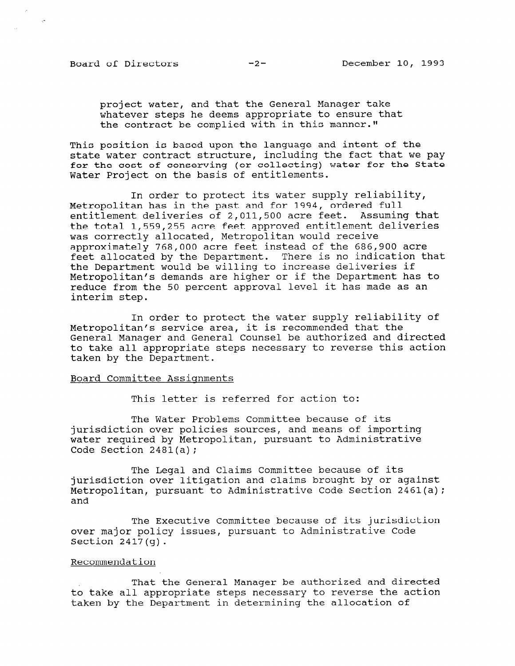project water, and that the General Manager take whatever steps he deems appropriate to ensure that the contract be complied with in this manner."

This position is based upon the language and intent of the state water contract structure, including the fact that we pay for the cost of conserving (or collecting) water for the State Water Project on the basis of entitlements.

In order to protect its water supply reliability, Metropolitan has in the past and for 1994, ordered full entitlement deliveries of 2,011,500 acre feet. Assuming that the total 1,559,255 acre feet approved entitlement deliveries was correctly allocated, Metropolitan would receive approximately 768,000 acre feet instead of the 686,900 acre feet allocated by the Department. There is no indication that the Department would be willing to increase deliveries if Metropolitan's demands are higher or if the Department has to reduce from the 50 percent approval level it has made as an interim step.

In order to protect the water supply reliability of Metropolitan's service area, it is recommended that the General Manager and General Counsel be authorized and directed to take all appropriate steps necessary to reverse this action taken by the Department.

### Board Committee Assiqnments

This letter is referred for action to:

The Water Problems Committee because of its jurisdiction over policies sources, and means of importing water required by Metropolitan, pursuant to Administrative Code Section 2481(a);

The Legal and Claims Committee because of its jurisdiction over litigation and claims brought by or against Metropolitan, pursuant to Administrative Code Section 2461(a); and

The Executive Committee because of its jurisdiction over major policy issues, pursuant to Administrative Code Section 2417(g).

### Recommendation

That the General Manager be authorized and directed to take all appropriate steps necessary to reverse the action taken by the Department in determining the allocation of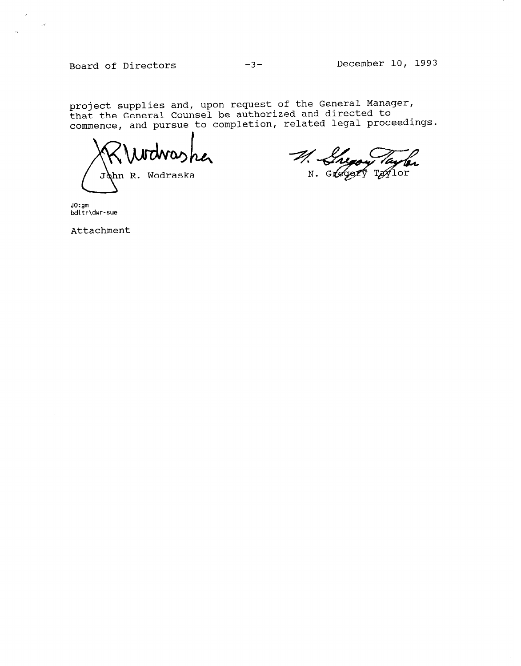Board of Directors -3- December 10, 1993

 $\hat{\boldsymbol{\theta}}$ 

project supplies and, upon request of the General Manager, that the General Counser be authorized and directed to<br>commence, and pursue to completion, related legal proceeding

John R. Wodraska

M. Lugoy Taylo

. . . <del>.</del> bdltr\dwr-sue

 $\mathcal{A}$ 

 $\sim eV$ 

Attachment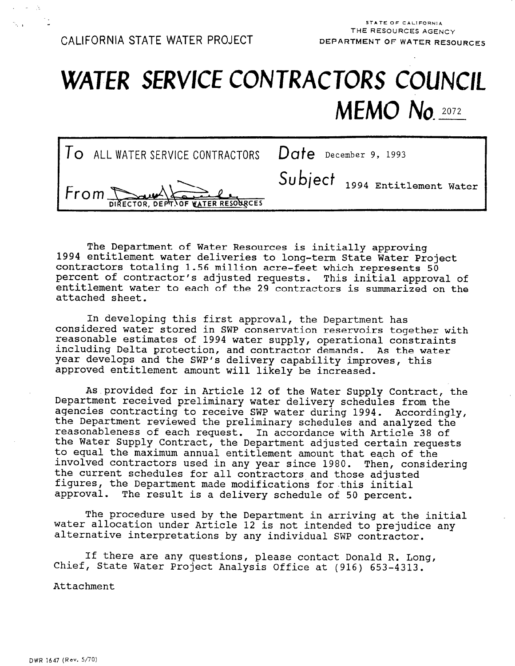# WATER SERVICE CONTRACTORS COUNCIL MEMO No. 2072

| $To$ ALL WATER SERVICE CONTRACTORS $Date$ December 9, 1993 |                                |
|------------------------------------------------------------|--------------------------------|
| From DIRECTOR, DEPT. OF WATER RESORCES                     | Subject 1994 Entitlement Water |

The Department of Water Resources is initially approving 1994 entitlement water deliveries to long-term State Water Project contractors totaling 1.56 million acre-feet which represents 50 percent of contractor's adjusted requests. This initial approval of entitlement water to each of the 29 contractors is summarized on the attached sheet.

In developing this first approval, the Department has considered water stored in SWP conservation reservoirs together with reasonable estimates of 1994 water supply, operational constraints including Delta protection, and contractor demands. As the water year develops and the SWP's delivery capability improves, this y and develops and the sur s delivery capability importance

Asprovided for in Article 12 of the Water Supply Contract, the nd provided for his article is on the water supply contract, Department received preliminary water delivery schedules from the<br>agencies contracting to receive SWP water during 1994. Accordingly, agencies conclacting to receive swr water during 1994. According: reasonableness of each request. In accordance with Article 38 of reasonableness of each request. In accordance with Article 38 of<br>the Water Supply Contract, the Department adjusted certain requests the water supply contract, the bepartment adjusted certain requ co equal the maximum annual entitiement amount that each of the<br>involved contractors used in any year since 1980. Then, consider involved contractors used in any year since 1980. Then, considering the current schedules for all contractors and those adjusted figures, the Department made modifications for this initial<br>approval. The result is a delivery schedule of 50 percent.

The procedure used by the Department in arriving at the initial  $\mathbf{r}$ water allocation under Article 12 is not intended to procedure used by the Department in arriving at the initi water allocation under Article 12 is not intended to prejudice any alternative interpretations by any individual SWP contractor.

If there are any questions, please contact Donald R. Long, Chief, State Water Project Analysis Office at (916) 653-4313. there are any questions, please contact Donald R. L.

Attachment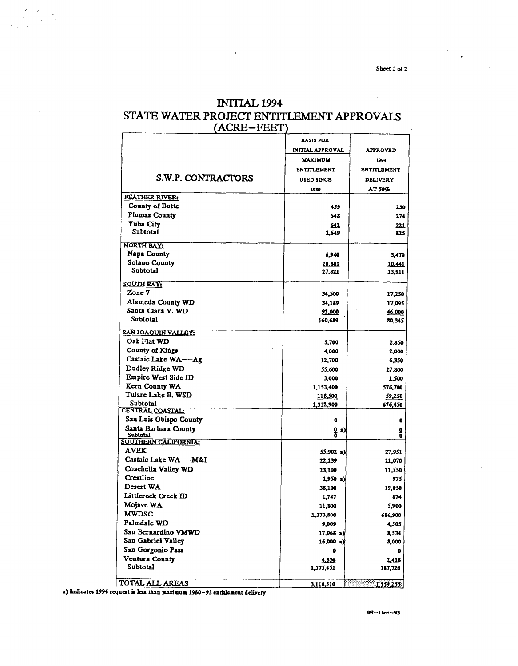Sheet 1 of 2

## **INITIAL 1994** STATE WATER PROJECT ENTITLEMENT APPROVALS (ACRE-FEET)

|                                  | <b>BASIS FOR</b>        |                    |
|----------------------------------|-------------------------|--------------------|
|                                  | <b>INITIAL APPROVAL</b> | <b>APPROVED</b>    |
|                                  | <b>MAXIMUM</b>          | 1994               |
|                                  | <b>ENTITLEMENT</b>      | <b>ENTITLEMENT</b> |
| S.W.P. CONTRACTORS               | <b>USED SINCE</b>       | <b>DELIVERY</b>    |
|                                  | 1980                    | AT 50%             |
| <b>FEATHER RIVER:</b>            |                         |                    |
| County of Butte                  | 459                     | 230                |
| Plumas County                    | 548                     | 274                |
| Yuba City                        | 642                     | 321                |
| Subtotal                         | 1.649                   | 825                |
| <b>NORTH BAY:</b>                |                         |                    |
| Napa County                      | 6,940                   | 3,470              |
| Solano County                    | 20,881                  | <u>10.441</u>      |
| Subtotal                         | 27,821                  | 13,911             |
|                                  |                         |                    |
| <b>SOUTH BAY:</b>                |                         |                    |
| Zone 7                           | 34,500                  | 17,250             |
| Alameda County WD                | 34,189                  | 17,095             |
| Santa Clara V. WD                | 92,000                  | 46,000             |
| Subtotal                         | 160,689                 | 80,345             |
| SAN JOAQUIN VALLEY:              |                         |                    |
| Oak Flat WD                      | 5,700                   | 2,850              |
| County of Kings                  | 4,000                   | 2,000              |
| Castaic Lake WA--Ag              | 12,700                  | 6,350              |
| Dudley Ridge WD                  | 55,600                  | 27,800             |
| Empire West Side ID              | 3,000                   | 1,500              |
| Kern County WA                   | 1,153,400               | 576,700            |
| Tulare Lake B. WSD               | <u> 118,500 </u>        | 59,250             |
| Subtotal                         | 1,352,900               | 676,450            |
| CENTRAL COASTAL                  |                         |                    |
| San Luis Obispo County           | o                       | o                  |
| Santa Barbara County<br>Subtotal | <u>0</u> a)<br>٥        | ₫<br>O             |
| <b>SOUTHERN CALIFORNIA:</b>      |                         |                    |
| <b>AVEK</b>                      | 55,902 a)               | 27,951             |
| Castaic Lake WA--M&I             | 22,139                  | 11,070             |
| Coachella Valley WD              | 23,100                  | 11.550             |
| Creatline                        | $1,950$ a)              | 975                |
| Desert WA                        | 38,100                  | 19,050             |
| Littlerock Creek ID              | 1,747                   | 874                |
| Mojave WA                        | 11,800                  | 5,900              |
| <b>MWDSC</b>                     | 1,373,800               | 686,900            |
| Palmdale WD                      | 9,009                   | 4,505              |
| San Bernardino VMWD              | 17,068 a                | 8,534              |
| San Gabriel Valley               | $16,000$ a)             | 8,000              |
| San Gorgonio Pass                | ۰                       | 0                  |
| Ventura County                   | 4,836                   | 2.418              |
| Subtotal                         | 1,575,451               | 787,726            |
|                                  |                         |                    |
| TOTAL ALL AREAS                  | 3,118,510               | 1,559,255          |

a) Indicates 1994 request is less than maximum 1980-93 entitlement delivery